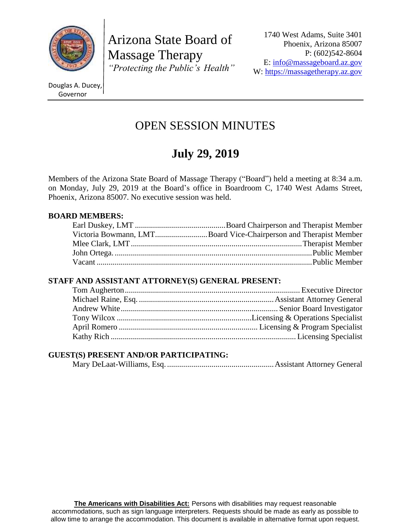

Arizona State Board of Massage Therapy *"Protecting the Public's Health"*

1740 West Adams, Suite 3401 Phoenix, Arizona 85007 P: (602)542-8604 E: [info@massageboard.az.gov](mailto:info@massageboard.az.gov) W: [https://massagetherapy.az.gov](https://massagetherapy.az.gov/)

Douglas A. Ducey, Governor

# OPEN SESSION MINUTES

# **July 29, 2019**

Members of the Arizona State Board of Massage Therapy ("Board") held a meeting at 8:34 a.m. on Monday, July 29, 2019 at the Board's office in Boardroom C, 1740 West Adams Street, Phoenix, Arizona 85007. No executive session was held.

### **BOARD MEMBERS:**

| Victoria Bowmann, LMTBoard Vice-Chairperson and Therapist Member |
|------------------------------------------------------------------|
|                                                                  |
|                                                                  |
|                                                                  |

# **STAFF AND ASSISTANT ATTORNEY(S) GENERAL PRESENT:**

# **GUEST(S) PRESENT AND/OR PARTICIPATING:**

Mary DeLaat-Williams, Esq. .....................................................Assistant Attorney General